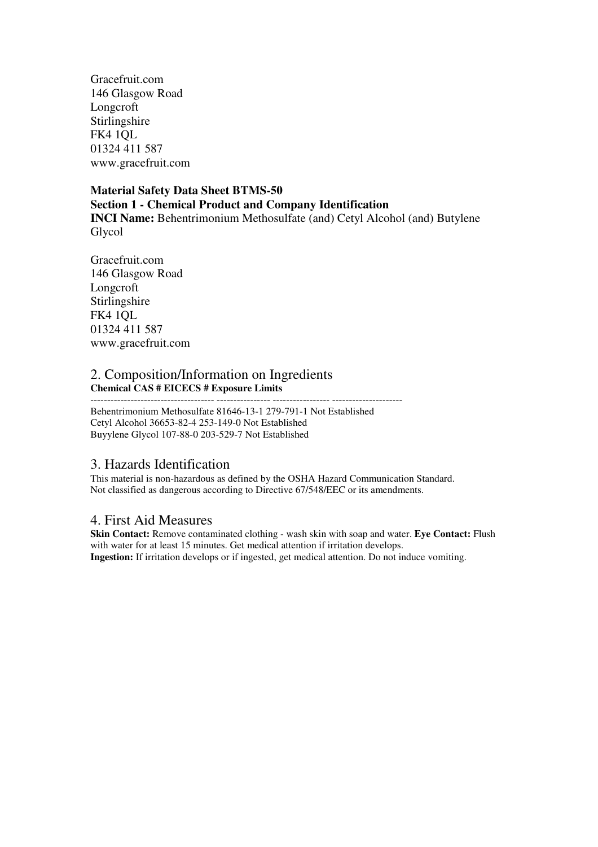Gracefruit.com 146 Glasgow Road Longcroft Stirlingshire FK4 1QL 01324 411 587 www.gracefruit.com

### **Material Safety Data Sheet BTMS-50 Section 1 - Chemical Product and Company Identification INCI Name:** Behentrimonium Methosulfate (and) Cetyl Alcohol (and) Butylene Glycol

Gracefruit.com 146 Glasgow Road Longcroft Stirlingshire FK4 1QL 01324 411 587 www.gracefruit.com

## 2. Composition/Information on Ingredients **Chemical CAS # EICECS # Exposure Limits**

------------------------------------- ---------------- ----------------- ---------------------

Behentrimonium Methosulfate 81646-13-1 279-791-1 Not Established Cetyl Alcohol 36653-82-4 253-149-0 Not Established Buyylene Glycol 107-88-0 203-529-7 Not Established

# 3. Hazards Identification

This material is non-hazardous as defined by the OSHA Hazard Communication Standard. Not classified as dangerous according to Directive 67/548/EEC or its amendments.

## 4. First Aid Measures

**Skin Contact:** Remove contaminated clothing - wash skin with soap and water. **Eye Contact:** Flush with water for at least 15 minutes. Get medical attention if irritation develops. **Ingestion:** If irritation develops or if ingested, get medical attention. Do not induce vomiting.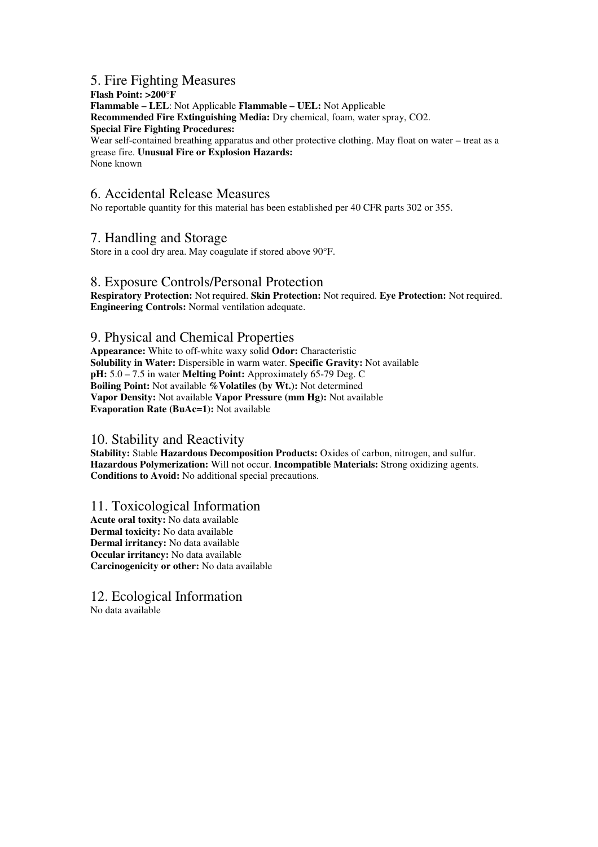## 5. Fire Fighting Measures

**Flash Point: >200°F Flammable – LEL**: Not Applicable **Flammable – UEL:** Not Applicable **Recommended Fire Extinguishing Media:** Dry chemical, foam, water spray, CO2. **Special Fire Fighting Procedures:**  Wear self-contained breathing apparatus and other protective clothing. May float on water – treat as a grease fire. **Unusual Fire or Explosion Hazards:**  None known

### 6. Accidental Release Measures

No reportable quantity for this material has been established per 40 CFR parts 302 or 355.

#### 7. Handling and Storage

Store in a cool dry area. May coagulate if stored above 90°F.

#### 8. Exposure Controls/Personal Protection

**Respiratory Protection:** Not required. **Skin Protection:** Not required. **Eye Protection:** Not required. **Engineering Controls:** Normal ventilation adequate.

### 9. Physical and Chemical Properties

**Appearance:** White to off-white waxy solid **Odor:** Characteristic **Solubility in Water:** Dispersible in warm water. **Specific Gravity:** Not available **pH:** 5.0 – 7.5 in water **Melting Point:** Approximately 65-79 Deg. C **Boiling Point:** Not available **%Volatiles (by Wt.):** Not determined **Vapor Density:** Not available **Vapor Pressure (mm Hg):** Not available **Evaporation Rate (BuAc=1):** Not available

#### 10. Stability and Reactivity

**Stability:** Stable **Hazardous Decomposition Products:** Oxides of carbon, nitrogen, and sulfur. **Hazardous Polymerization:** Will not occur. **Incompatible Materials:** Strong oxidizing agents. **Conditions to Avoid:** No additional special precautions.

#### 11. Toxicological Information

**Acute oral toxity:** No data available **Dermal toxicity:** No data available **Dermal irritancy:** No data available **Occular irritancy:** No data available **Carcinogenicity or other:** No data available

12. Ecological Information No data available